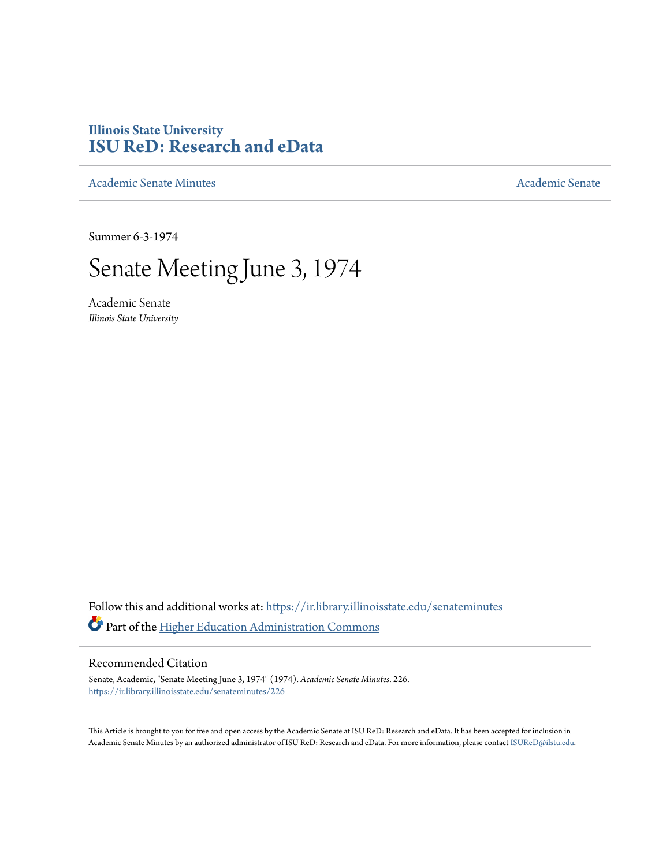## **Illinois State University [ISU ReD: Research and eData](https://ir.library.illinoisstate.edu?utm_source=ir.library.illinoisstate.edu%2Fsenateminutes%2F226&utm_medium=PDF&utm_campaign=PDFCoverPages)**

[Academic Senate Minutes](https://ir.library.illinoisstate.edu/senateminutes?utm_source=ir.library.illinoisstate.edu%2Fsenateminutes%2F226&utm_medium=PDF&utm_campaign=PDFCoverPages) [Academic Senate](https://ir.library.illinoisstate.edu/senate?utm_source=ir.library.illinoisstate.edu%2Fsenateminutes%2F226&utm_medium=PDF&utm_campaign=PDFCoverPages) Academic Senate

Summer 6-3-1974

## Senate Meeting June 3, 1974

Academic Senate *Illinois State University*

Follow this and additional works at: [https://ir.library.illinoisstate.edu/senateminutes](https://ir.library.illinoisstate.edu/senateminutes?utm_source=ir.library.illinoisstate.edu%2Fsenateminutes%2F226&utm_medium=PDF&utm_campaign=PDFCoverPages) Part of the [Higher Education Administration Commons](http://network.bepress.com/hgg/discipline/791?utm_source=ir.library.illinoisstate.edu%2Fsenateminutes%2F226&utm_medium=PDF&utm_campaign=PDFCoverPages)

## Recommended Citation

Senate, Academic, "Senate Meeting June 3, 1974" (1974). *Academic Senate Minutes*. 226. [https://ir.library.illinoisstate.edu/senateminutes/226](https://ir.library.illinoisstate.edu/senateminutes/226?utm_source=ir.library.illinoisstate.edu%2Fsenateminutes%2F226&utm_medium=PDF&utm_campaign=PDFCoverPages)

This Article is brought to you for free and open access by the Academic Senate at ISU ReD: Research and eData. It has been accepted for inclusion in Academic Senate Minutes by an authorized administrator of ISU ReD: Research and eData. For more information, please contact [ISUReD@ilstu.edu.](mailto:ISUReD@ilstu.edu)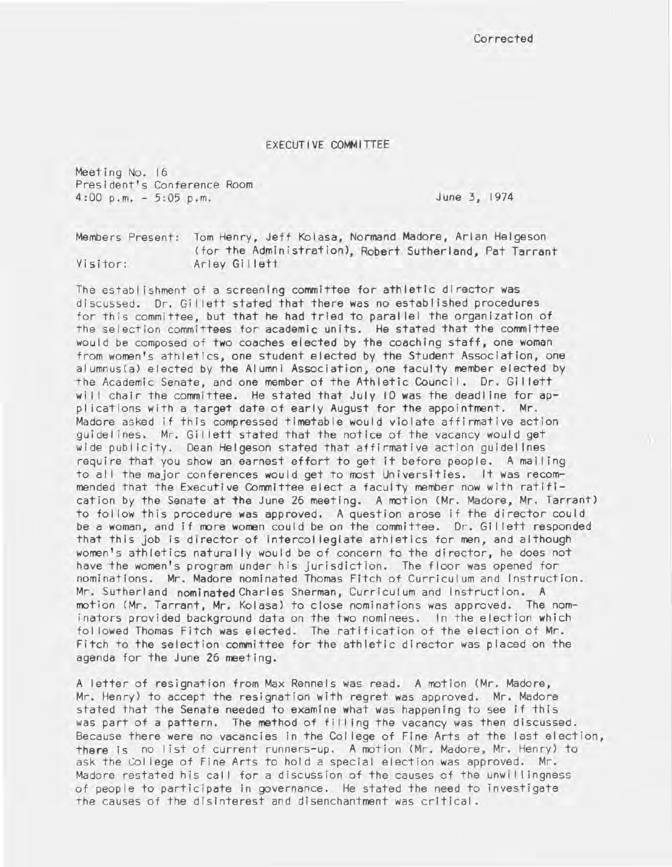**Corrected** 

## EXECUTIVE COMMITTEE

Meeting No. 16 President's Conference Room 4:00 p.m. - 5:05 p.m.

June 3, 1974

Members Present: Tom Henry, Jeff Kolasa, Normand Madore, Arlan Helgeson (for the Administration), Robert Sutherland, Pat Tarrant Visitor: Arley Gillett

The establ ishment of a screening committee for athletic director was discussed. Dr. Gi I lett stated that there was no established procedures for this committee, but that he had tried to paral lei the organization of the selection committees for academic units. He stated that the committee would be composed of two coaches elected by the coaching staff, one woman from women's athletics, one student elected by the Student Association, one alumnus(a) elected by the Alumni Association, one faculty member elected by the Academic Senate, and one member of the Athletic Council. Dr. Gillett will chair the committee. He stated that July 10 was the deadline for appi ications with a target date of early August for the appointment. Mr. Madore asked if this compressed timetable would violate affirmative action guidel ines. Mr. Gil lett stated that the notice of the vacancy would get wide publicity. Dean Helgeson stated that affirmative action quidelines require that you show an earnest effort to get it before people. A mall ing to all the major conferences would get to most Universities. It was recommended that the Executive Committee elect a faculty member now with ratification by the Senate at the June 26 meeting. A motion (Mr. Madore, Mr. Tarrant) to fol low this procedure was approved. A question arose if the director could be a woman, and if more women could be on the committee. Dr. Gil lett responded that this job is director of intercollegiate athletics for men, and although women's athletics naturally would be of concern to the director, he does not have the women's program under his jurisdiction. The floor was opened for nominations. Mr. Madore nominated Thomas Fitch of Curriculum and Instruction. Mr. Sutherland nominated Charles Sherman, Curriculum and Instruction. A motion (Mr. Tarrant, Mr. Kolasa) to close nominations was approved. The nominators provided background data on the two nominees. In the election which fol lowed Thomas Fitch was elected. The ratification of the election of Mr. Fitch to the selection committee for the athletic director was placed on the agenda for the June 26 meeting.

A letter of resignation from Max Rennels was read. A motion (Mr. Madore, Mr. Henry) to accept the resignation with regret was approved. Mr. Madore stated that the Senate needed to examine what was happening to see if this was part of a pattern. The method of filling the vacancy was then discussed. Because there were no vacancies in the Col lege of Fine Arts at the last election, there Is no I ist of current runners-up. A motion (Mr. Madore, Mr. Henry) to ask the Col lege of Fine Arts to hold a special election was approved. Mr. Madore restated his call for a discussion of the causes of the unwillingness of people to participate in governance. He stated the need to investigate the causes of the disinterest and disenchantment was critical.